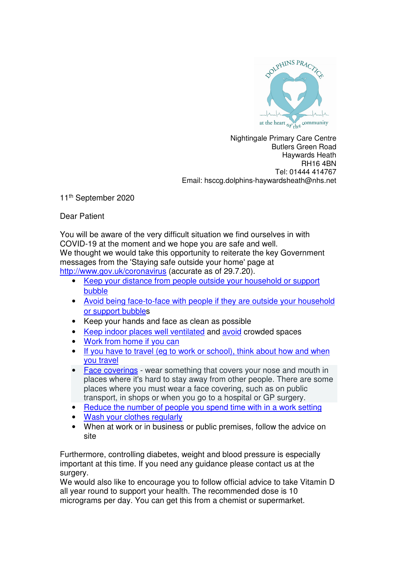

Nightingale Primary Care Centre Butlers Green Road Haywards Heath RH16 4BN Tel: 01444 414767 Email: hsccg.dolphins-haywardsheath@nhs.net

11<sup>th</sup> September 2020

Dear Patient

You will be aware of the very difficult situation we find ourselves in with COVID-19 at the moment and we hope you are safe and well. We thought we would take this opportunity to reiterate the key Government messages from the 'Staying safe outside your home' page at http://www.gov.uk/coronavirus (accurate as of 29.7.20).

- Keep your distance from people outside your household or support bubble
- Avoid being face-to-face with people if they are outside your household or support bubbles
- Keep your hands and face as clean as possible
- Keep indoor places well ventilated and avoid crowded spaces
- Work from home if you can
- If you have to travel (eg to work or school), think about how and when you travel
- Face coverings wear something that covers your nose and mouth in places where it's hard to stay away from other people. There are some places where you must wear a face covering, such as on public transport, in shops or when you go to a hospital or GP surgery.
- Reduce the number of people you spend time with in a work setting
- Wash your clothes regularly
- When at work or in business or public premises, follow the advice on site

Furthermore, controlling diabetes, weight and blood pressure is especially important at this time. If you need any guidance please contact us at the surgery.

We would also like to encourage you to follow official advice to take Vitamin D all year round to support your health. The recommended dose is 10 micrograms per day. You can get this from a chemist or supermarket.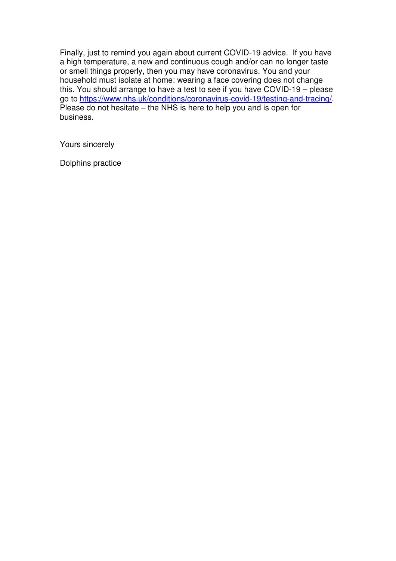Finally, just to remind you again about current COVID-19 advice. If you have a high temperature, a new and continuous cough and/or can no longer taste or smell things properly, then you may have coronavirus. You and your household must isolate at home: wearing a face covering does not change this. You should arrange to have a test to see if you have COVID-19 – please go to https://www.nhs.uk/conditions/coronavirus-covid-19/testing-and-tracing/. Please do not hesitate – the NHS is here to help you and is open for business.

Yours sincerely

Dolphins practice